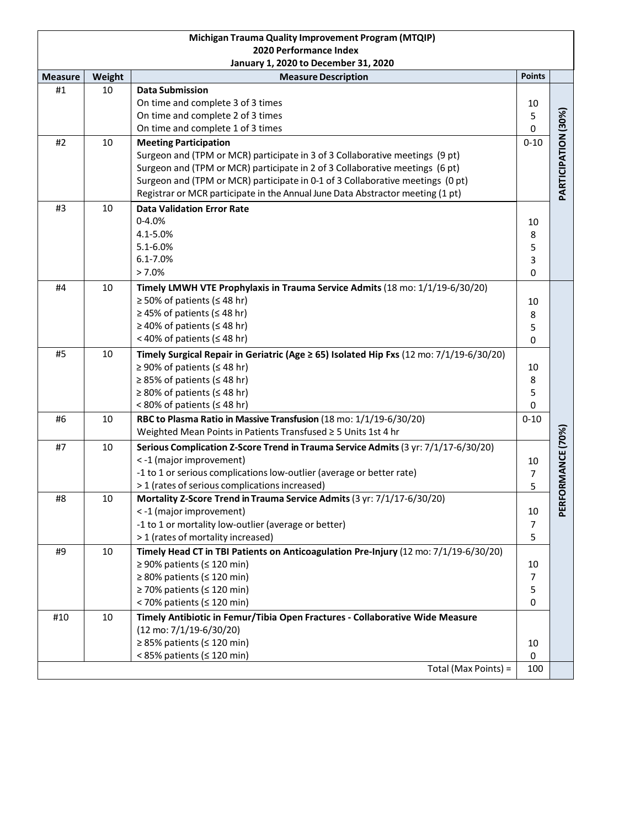| Michigan Trauma Quality Improvement Program (MTQIP)            |        |                                                                                         |                |                     |  |  |  |  |  |  |
|----------------------------------------------------------------|--------|-----------------------------------------------------------------------------------------|----------------|---------------------|--|--|--|--|--|--|
| 2020 Performance Index<br>January 1, 2020 to December 31, 2020 |        |                                                                                         |                |                     |  |  |  |  |  |  |
| <b>Measure</b>                                                 | Weight | <b>Measure Description</b>                                                              | <b>Points</b>  |                     |  |  |  |  |  |  |
| #1                                                             | 10     | <b>Data Submission</b>                                                                  |                |                     |  |  |  |  |  |  |
|                                                                |        | On time and complete 3 of 3 times                                                       | 10             |                     |  |  |  |  |  |  |
|                                                                |        | On time and complete 2 of 3 times                                                       | 5              |                     |  |  |  |  |  |  |
|                                                                |        | On time and complete 1 of 3 times                                                       | 0              | PARTICIPATION (30%) |  |  |  |  |  |  |
| #2                                                             | 10     | <b>Meeting Participation</b>                                                            |                |                     |  |  |  |  |  |  |
|                                                                |        | Surgeon and (TPM or MCR) participate in 3 of 3 Collaborative meetings (9 pt)            |                |                     |  |  |  |  |  |  |
|                                                                |        | Surgeon and (TPM or MCR) participate in 2 of 3 Collaborative meetings (6 pt)            |                |                     |  |  |  |  |  |  |
|                                                                |        | Surgeon and (TPM or MCR) participate in 0-1 of 3 Collaborative meetings (0 pt)          |                |                     |  |  |  |  |  |  |
|                                                                |        | Registrar or MCR participate in the Annual June Data Abstractor meeting (1 pt)          |                |                     |  |  |  |  |  |  |
| #3                                                             | 10     | <b>Data Validation Error Rate</b>                                                       |                |                     |  |  |  |  |  |  |
|                                                                |        | $0 - 4.0%$                                                                              | 10             |                     |  |  |  |  |  |  |
|                                                                |        | 4.1-5.0%                                                                                | 8              |                     |  |  |  |  |  |  |
|                                                                |        | 5.1-6.0%                                                                                | 5              |                     |  |  |  |  |  |  |
|                                                                |        | $6.1 - 7.0%$                                                                            | 3              |                     |  |  |  |  |  |  |
|                                                                |        | > 7.0%                                                                                  | 0              |                     |  |  |  |  |  |  |
| #4                                                             | 10     | Timely LMWH VTE Prophylaxis in Trauma Service Admits (18 mo: 1/1/19-6/30/20)            |                |                     |  |  |  |  |  |  |
|                                                                |        | $\geq$ 50% of patients ( $\leq$ 48 hr)                                                  | 10             |                     |  |  |  |  |  |  |
|                                                                |        | ≥ 45% of patients (≤ 48 hr)                                                             | 8              |                     |  |  |  |  |  |  |
|                                                                |        | $\geq$ 40% of patients ( $\leq$ 48 hr)<br><40% of patients ( $\leq$ 48 hr)              | 5              |                     |  |  |  |  |  |  |
|                                                                |        |                                                                                         | $\mathbf 0$    |                     |  |  |  |  |  |  |
| #5                                                             | 10     | Timely Surgical Repair in Geriatric (Age ≥ 65) Isolated Hip Fxs (12 mo: 7/1/19-6/30/20) |                |                     |  |  |  |  |  |  |
|                                                                |        | ≥ 90% of patients (≤ 48 hr)<br>≥ 85% of patients (≤ 48 hr)                              | 10             |                     |  |  |  |  |  |  |
|                                                                |        | $\geq$ 80% of patients ( $\leq$ 48 hr)                                                  | 8<br>5         |                     |  |  |  |  |  |  |
|                                                                |        | < 80% of patients ( $\leq$ 48 hr)                                                       | 0              |                     |  |  |  |  |  |  |
| #6                                                             | 10     | RBC to Plasma Ratio in Massive Transfusion (18 mo: 1/1/19-6/30/20)                      | $0 - 10$       |                     |  |  |  |  |  |  |
|                                                                |        | Weighted Mean Points in Patients Transfused ≥ 5 Units 1st 4 hr                          |                |                     |  |  |  |  |  |  |
| #7                                                             | 10     | Serious Complication Z-Score Trend in Trauma Service Admits (3 yr: 7/1/17-6/30/20)      |                | ORMANCE (70%)       |  |  |  |  |  |  |
|                                                                |        | < -1 (major improvement)                                                                | 10             |                     |  |  |  |  |  |  |
|                                                                |        | -1 to 1 or serious complications low-outlier (average or better rate)                   | $\overline{7}$ |                     |  |  |  |  |  |  |
|                                                                |        | > 1 (rates of serious complications increased)                                          | 5              |                     |  |  |  |  |  |  |
| #8                                                             | 10     | Mortality Z-Score Trend in Trauma Service Admits (3 yr: 7/1/17-6/30/20)                 |                |                     |  |  |  |  |  |  |
|                                                                |        | < -1 (major improvement)                                                                | 10             | PERF                |  |  |  |  |  |  |
|                                                                |        | -1 to 1 or mortality low-outlier (average or better)                                    | $\overline{7}$ |                     |  |  |  |  |  |  |
|                                                                |        | > 1 (rates of mortality increased)                                                      | 5              |                     |  |  |  |  |  |  |
| #9                                                             | 10     | Timely Head CT in TBI Patients on Anticoagulation Pre-Injury (12 mo: 7/1/19-6/30/20)    |                |                     |  |  |  |  |  |  |
|                                                                |        | ≥ 90% patients (≤ 120 min)                                                              | 10             |                     |  |  |  |  |  |  |
|                                                                |        | $\geq$ 80% patients ( $\leq$ 120 min)                                                   | $\overline{7}$ |                     |  |  |  |  |  |  |
|                                                                |        | $\geq$ 70% patients ( $\leq$ 120 min)                                                   | 5              |                     |  |  |  |  |  |  |
|                                                                |        | < 70% patients ( $\leq$ 120 min)                                                        | 0              |                     |  |  |  |  |  |  |
| #10                                                            | 10     | Timely Antibiotic in Femur/Tibia Open Fractures - Collaborative Wide Measure            |                |                     |  |  |  |  |  |  |
|                                                                |        | $(12 \text{ mo}: 7/1/19 - 6/30/20)$                                                     |                |                     |  |  |  |  |  |  |
|                                                                |        | $\geq$ 85% patients ( $\leq$ 120 min)                                                   | 10             |                     |  |  |  |  |  |  |
|                                                                |        | < 85% patients ( $\leq$ 120 min)                                                        | 0              |                     |  |  |  |  |  |  |
|                                                                |        | Total (Max Points) =                                                                    | 100            |                     |  |  |  |  |  |  |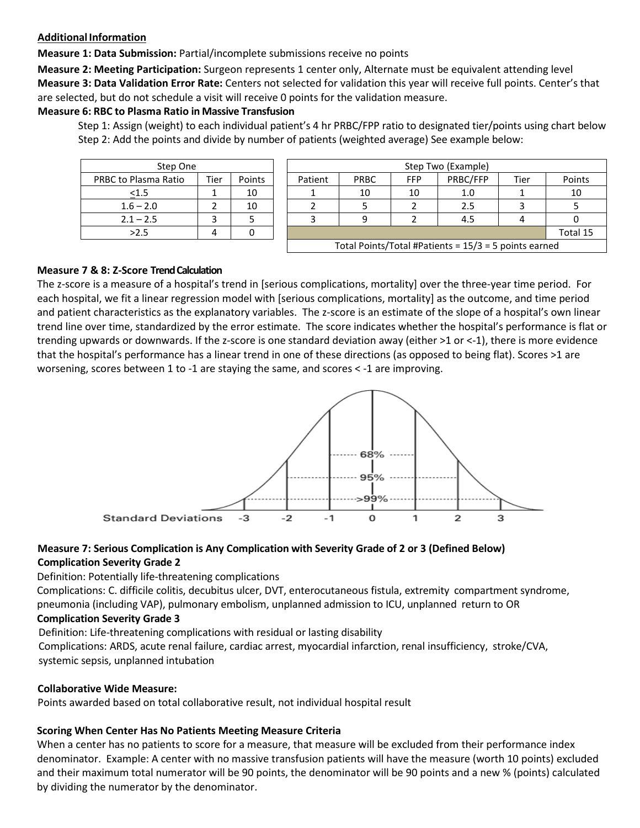#### **AdditionalInformation**

**Measure 1: Data Submission:** Partial/incomplete submissions receive no points

**Measure 2: Meeting Participation:** Surgeon represents 1 center only, Alternate must be equivalent attending level **Measure 3: Data Validation Error Rate:** Centers not selected for validation this year will receive full points. Center's that are selected, but do not schedule a visit will receive 0 points for the validation measure.

#### **Measure 6: RBC to Plasma Ratio in Massive Transfusion**

 Step 1: Assign (weight) to each individual patient's 4 hr PRBC/FPP ratio to designated tier/points using chart below Step 2: Add the points and divide by number of patients (weighted average) See example below:

| Step One             |      |        |  |  |  |  |
|----------------------|------|--------|--|--|--|--|
| PRBC to Plasma Ratio | Tier | Points |  |  |  |  |
| < 1.5                |      | 10     |  |  |  |  |
| $1.6 - 2.0$          |      | 10     |  |  |  |  |
| $2.1 - 2.5$          |      |        |  |  |  |  |
| >2.5                 |      |        |  |  |  |  |

| Step One             |      |               |  | Step Two (Example) |             |            |                                                         |      |          |
|----------------------|------|---------------|--|--------------------|-------------|------------|---------------------------------------------------------|------|----------|
| PRBC to Plasma Ratio | Tier | <b>Points</b> |  | Patient            | <b>PRBC</b> | <b>FFP</b> | PRBC/FFP                                                | Tier | Points   |
| $\leq 1.5$           |      | 10            |  |                    | 10          | 10         | 1.0                                                     |      | 10       |
| $1.6 - 2.0$          |      | 10            |  |                    |             |            | 2.5                                                     |      |          |
| $2.1 - 2.5$          |      |               |  |                    |             |            | 4.5                                                     |      |          |
| >2.5                 |      |               |  |                    |             |            |                                                         |      | Total 15 |
|                      |      |               |  |                    |             |            | Total Points/Total #Patients = $15/3 = 5$ points earned |      |          |

#### **Measure 7 & 8: Z-Score TrendCalculation**

The z-score is a measure of a hospital's trend in [serious complications, mortality] over the three-year time period. For each hospital, we fit a linear regression model with [serious complications, mortality] as the outcome, and time period and patient characteristics as the explanatory variables. The z-score is an estimate of the slope of a hospital's own linear trend line over time, standardized by the error estimate. The score indicates whether the hospital's performance is flat or trending upwards or downwards. If the z-score is one standard deviation away (either >1 or <-1), there is more evidence that the hospital's performance has a linear trend in one of these directions (as opposed to being flat). Scores >1 are worsening, scores between 1 to -1 are staying the same, and scores < -1 are improving.



#### **Measure 7: Serious Complication is Any Complication with Severity Grade of 2 or 3 (Defined Below) Complication Severity Grade 2**

Definition: Potentially life-threatening complications

Complications: C. difficile colitis, decubitus ulcer, DVT, enterocutaneous fistula, extremity compartment syndrome, pneumonia (including VAP), pulmonary embolism, unplanned admission to ICU, unplanned return to OR

## **Complication Severity Grade 3**

Definition: Life-threatening complications with residual or lasting disability

Complications: ARDS, acute renal failure, cardiac arrest, myocardial infarction, renal insufficiency, stroke/CVA, systemic sepsis, unplanned intubation

#### **Collaborative Wide Measure:**

Points awarded based on total collaborative result, not individual hospital result

## **Scoring When Center Has No Patients Meeting Measure Criteria**

When a center has no patients to score for a measure, that measure will be excluded from their performance index denominator. Example: A center with no massive transfusion patients will have the measure (worth 10 points) excluded and their maximum total numerator will be 90 points, the denominator will be 90 points and a new % (points) calculated by dividing the numerator by the denominator.